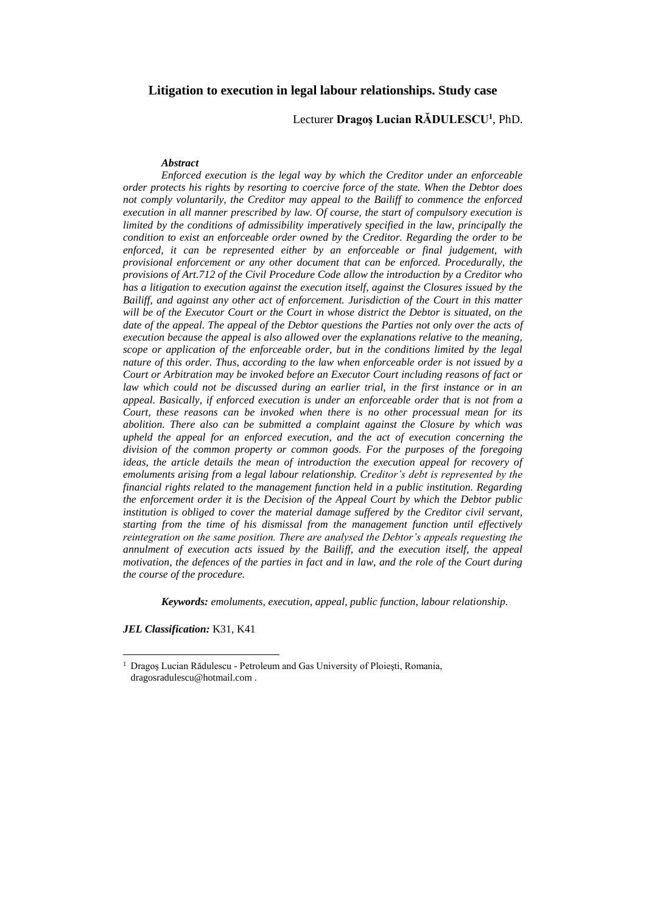# **Litigation to execution in legal labour relationships. Study case**

## Lecturer **Dragoş Lucian RĂDULESCU<sup>1</sup>** , PhD.

#### *Abstract*

*Enforced execution is the legal way by which the Creditor under an enforceable order protects his rights by resorting to coercive force of the state. When the Debtor does not comply voluntarily, the Creditor may appeal to the Bailiff to commence the enforced execution in all manner prescribed by law. Of course, the start of compulsory execution is limited by the conditions of admissibility imperatively specified in the law, principally the condition to exist an enforceable order owned by the Creditor. Regarding the order to be enforced, it can be represented either by an enforceable or final judgement, with provisional enforcement or any other document that can be enforced. Procedurally, the provisions of Art.712 of the Civil Procedure Code allow the introduction by a Creditor who has a litigation to execution against the execution itself, against the Closures issued by the Bailiff, and against any other act of enforcement. Jurisdiction of the Court in this matter will be of the Executor Court or the Court in whose district the Debtor is situated, on the date of the appeal. The appeal of the Debtor questions the Parties not only over the acts of execution because the appeal is also allowed over the explanations relative to the meaning, scope or application of the enforceable order, but in the conditions limited by the legal nature of this order. Thus, according to the law when enforceable order is not issued by a Court or Arbitration may be invoked before an Executor Court including reasons of fact or law which could not be discussed during an earlier trial, in the first instance or in an appeal. Basically, if enforced execution is under an enforceable order that is not from a Court, these reasons can be invoked when there is no other processual mean for its abolition. There also can be submitted a complaint against the Closure by which was upheld the appeal for an enforced execution, and the act of execution concerning the division of the common property or common goods. For the purposes of the foregoing ideas, the article details the mean of introduction the execution appeal for recovery of emoluments arising from a legal labour relationship. Creditor's debt is represented by the financial rights related to the management function held in a public institution. Regarding the enforcement order it is the Decision of the Appeal Court by which the Debtor public institution is obliged to cover the material damage suffered by the Creditor civil servant, starting from the time of his dismissal from the management function until effectively reintegration on the same position. There are analysed the Debtor's appeals requesting the annulment of execution acts issued by the Bailiff, and the execution itself, the appeal motivation, the defences of the parties in fact and in law, and the role of the Court during the course of the procedure.*

*Keywords: emoluments, execution, appeal, public function, labour relationship.* 

*JEL Classification:* K31, K41

 $\overline{\phantom{a}}$ 

<sup>&</sup>lt;sup>1</sup> Dragoș Lucian Rădulescu - Petroleum and Gas University of Ploiești, Romania, dragosradulescu@hotmail.com .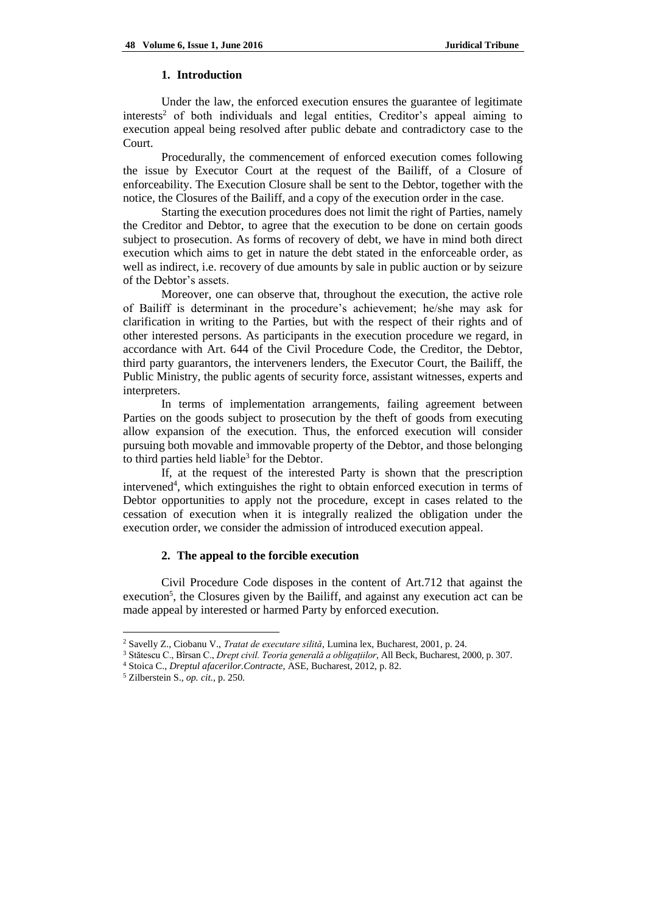#### **1. Introduction**

Under the law, the enforced execution ensures the guarantee of legitimate interests<sup>2</sup> of both individuals and legal entities, Creditor's appeal aiming to execution appeal being resolved after public debate and contradictory case to the Court.

Procedurally, the commencement of enforced execution comes following the issue by Executor Court at the request of the Bailiff, of a Closure of enforceability. The Execution Closure shall be sent to the Debtor, together with the notice, the Closures of the Bailiff, and a copy of the execution order in the case.

Starting the execution procedures does not limit the right of Parties, namely the Creditor and Debtor, to agree that the execution to be done on certain goods subject to prosecution. As forms of recovery of debt, we have in mind both direct execution which aims to get in nature the debt stated in the enforceable order, as well as indirect, i.e. recovery of due amounts by sale in public auction or by seizure of the Debtor's assets.

Moreover, one can observe that, throughout the execution, the active role of Bailiff is determinant in the procedure's achievement; he/she may ask for clarification in writing to the Parties, but with the respect of their rights and of other interested persons. As participants in the execution procedure we regard, in accordance with Art. 644 of the Civil Procedure Code, the Creditor, the Debtor, third party guarantors, the interveners lenders, the Executor Court, the Bailiff, the Public Ministry, the public agents of security force, assistant witnesses, experts and interpreters.

In terms of implementation arrangements, failing agreement between Parties on the goods subject to prosecution by the theft of goods from executing allow expansion of the execution. Thus, the enforced execution will consider pursuing both movable and immovable property of the Debtor, and those belonging to third parties held liable<sup>3</sup> for the Debtor.

If, at the request of the interested Party is shown that the prescription intervened<sup>4</sup>, which extinguishes the right to obtain enforced execution in terms of Debtor opportunities to apply not the procedure, except in cases related to the cessation of execution when it is integrally realized the obligation under the execution order, we consider the admission of introduced execution appeal.

## **2. The appeal to the forcible execution**

Civil Procedure Code disposes in the content of Art.712 that against the execution<sup>5</sup>, the Closures given by the Bailiff, and against any execution act can be made appeal by interested or harmed Party by enforced execution.

 $\overline{\phantom{a}}$ 

<sup>2</sup> Savelly Z., Ciobanu V., *Tratat de executare silită*, Lumina lex, Bucharest, 2001, p. 24.

<sup>3</sup> Stătescu C., Bîrsan C., *Drept civil. Teoria generală a obligațiilor*, All Beck, Bucharest, 2000, p. 307.

<sup>4</sup> Stoica C., *Dreptul afacerilor.Contracte*, ASE, Bucharest, 2012, p. 82.

<sup>5</sup> Zilberstein S., *op. cit.*, p. 250.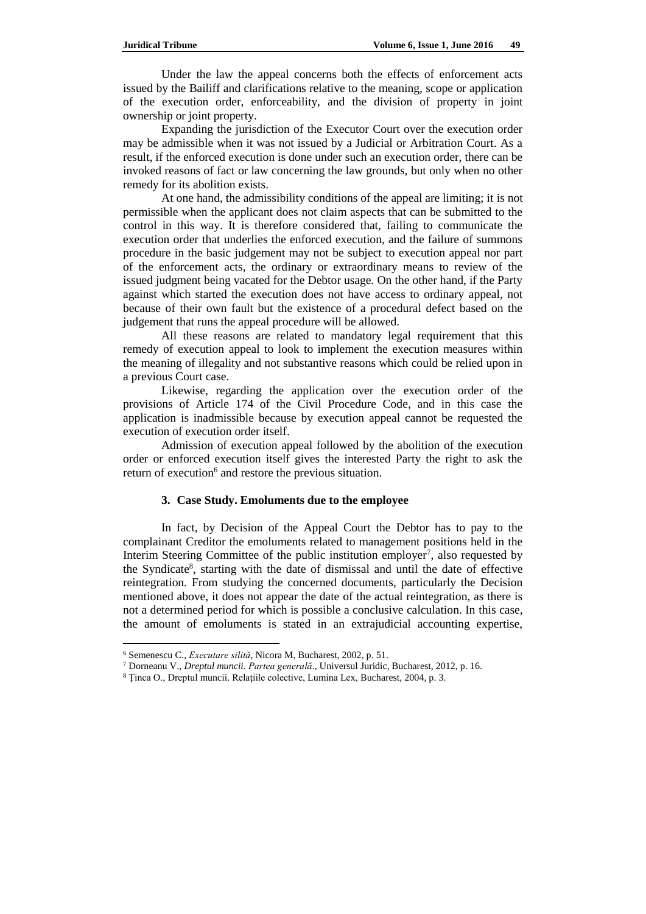Under the law the appeal concerns both the effects of enforcement acts issued by the Bailiff and clarifications relative to the meaning, scope or application of the execution order, enforceability, and the division of property in joint ownership or joint property.

Expanding the jurisdiction of the Executor Court over the execution order may be admissible when it was not issued by a Judicial or Arbitration Court. As a result, if the enforced execution is done under such an execution order, there can be invoked reasons of fact or law concerning the law grounds, but only when no other remedy for its abolition exists.

At one hand, the admissibility conditions of the appeal are limiting; it is not permissible when the applicant does not claim aspects that can be submitted to the control in this way. It is therefore considered that, failing to communicate the execution order that underlies the enforced execution, and the failure of summons procedure in the basic judgement may not be subject to execution appeal nor part of the enforcement acts, the ordinary or extraordinary means to review of the issued judgment being vacated for the Debtor usage. On the other hand, if the Party against which started the execution does not have access to ordinary appeal, not because of their own fault but the existence of a procedural defect based on the judgement that runs the appeal procedure will be allowed.

All these reasons are related to mandatory legal requirement that this remedy of execution appeal to look to implement the execution measures within the meaning of illegality and not substantive reasons which could be relied upon in a previous Court case.

Likewise, regarding the application over the execution order of the provisions of Article 174 of the Civil Procedure Code, and in this case the application is inadmissible because by execution appeal cannot be requested the execution of execution order itself.

Admission of execution appeal followed by the abolition of the execution order or enforced execution itself gives the interested Party the right to ask the return of execution<sup>6</sup> and restore the previous situation.

#### **3. Case Study. Emoluments due to the employee**

In fact, by Decision of the Appeal Court the Debtor has to pay to the complainant Creditor the emoluments related to management positions held in the Interim Steering Committee of the public institution employer<sup>7</sup>, also requested by the Syndicate<sup>8</sup>, starting with the date of dismissal and until the date of effective reintegration. From studying the concerned documents, particularly the Decision mentioned above, it does not appear the date of the actual reintegration, as there is not a determined period for which is possible a conclusive calculation. In this case, the amount of emoluments is stated in an extrajudicial accounting expertise,

 $\overline{a}$ 

<sup>6</sup> Semenescu C., *Executare silită*, Nicora M, Bucharest, 2002, p. 51.

<sup>7</sup> Dorneanu V., *Dreptul muncii. Partea generală*., Universul Juridic, Bucharest, 2012, p. 16.

<sup>8</sup> Ţinca O., Dreptul muncii. Relaţiile colective, Lumina Lex, Bucharest, 2004, p. 3.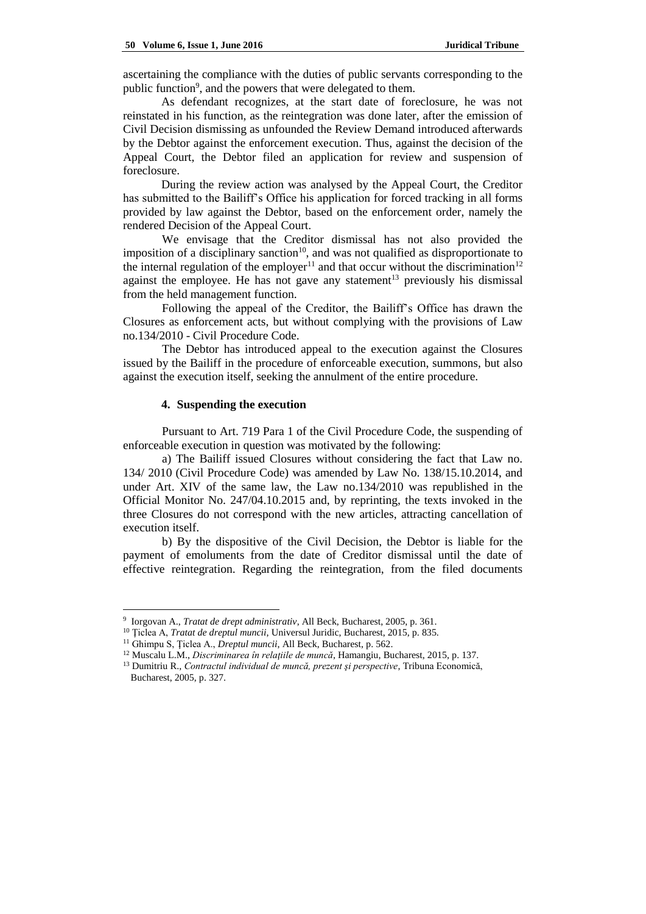ascertaining the compliance with the duties of public servants corresponding to the public function<sup>9</sup>, and the powers that were delegated to them.

As defendant recognizes, at the start date of foreclosure, he was not reinstated in his function, as the reintegration was done later, after the emission of Civil Decision dismissing as unfounded the Review Demand introduced afterwards by the Debtor against the enforcement execution. Thus, against the decision of the Appeal Court, the Debtor filed an application for review and suspension of foreclosure.

During the review action was analysed by the Appeal Court, the Creditor has submitted to the Bailiff's Office his application for forced tracking in all forms provided by law against the Debtor, based on the enforcement order, namely the rendered Decision of the Appeal Court.

We envisage that the Creditor dismissal has not also provided the imposition of a disciplinary sanction<sup>10</sup>, and was not qualified as disproportionate to the internal regulation of the employer<sup>11</sup> and that occur without the discrimination<sup>12</sup> against the employee. He has not gave any statement<sup>13</sup> previously his dismissal from the held management function.

Following the appeal of the Creditor, the Bailiff's Office has drawn the Closures as enforcement acts, but without complying with the provisions of Law no.134/2010 - Civil Procedure Code.

The Debtor has introduced appeal to the execution against the Closures issued by the Bailiff in the procedure of enforceable execution, summons, but also against the execution itself, seeking the annulment of the entire procedure.

#### **4. Suspending the execution**

Pursuant to Art. 719 Para 1 of the Civil Procedure Code, the suspending of enforceable execution in question was motivated by the following:

a) The Bailiff issued Closures without considering the fact that Law no. 134/ 2010 (Civil Procedure Code) was amended by Law No. 138/15.10.2014, and under Art. XIV of the same law, the Law no.134/2010 was republished in the Official Monitor No. 247/04.10.2015 and, by reprinting, the texts invoked in the three Closures do not correspond with the new articles, attracting cancellation of execution itself.

b) By the dispositive of the Civil Decision, the Debtor is liable for the payment of emoluments from the date of Creditor dismissal until the date of effective reintegration. Regarding the reintegration, from the filed documents

 $\overline{a}$ 

<sup>9</sup> Iorgovan A., *Tratat de drept administrativ*, All Beck, Bucharest, 2005, p. 361.

<sup>&</sup>lt;sup>10</sup> Ticlea A, *Tratat de dreptul muncii*, Universul Juridic, Bucharest, 2015, p. 835.

<sup>11</sup> Ghimpu S, Ţiclea A., *Dreptul muncii*, All Beck, Bucharest, p. 562.

<sup>12</sup> Muscalu L.M., *Discriminarea în relaţiile de muncă*, Hamangiu, Bucharest, 2015, p. 137.

<sup>13</sup> Dumitriu R., *Contractul individual de muncă, prezent şi perspective*, Tribuna Economică, Bucharest, 2005, p. 327.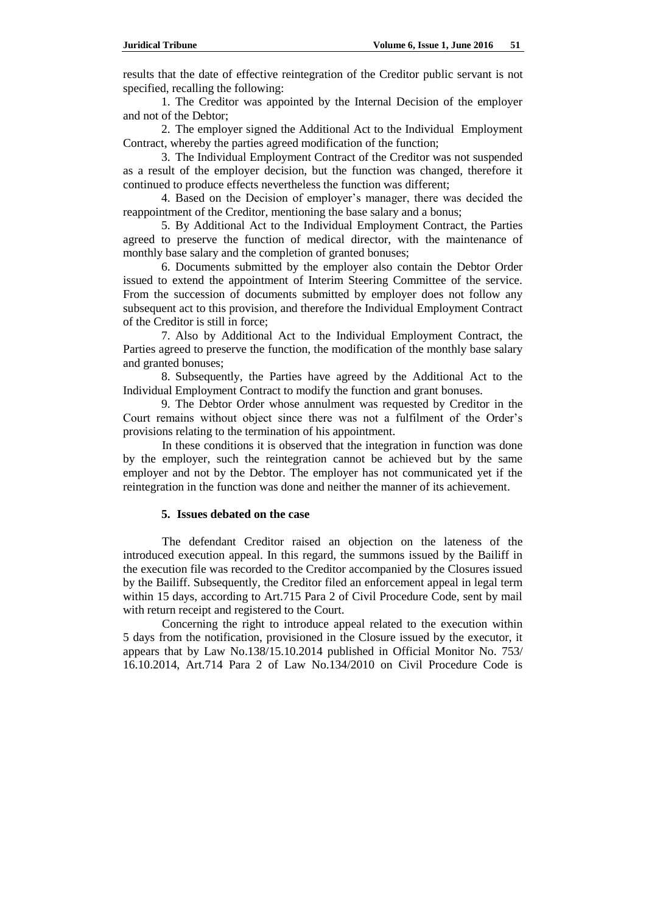results that the date of effective reintegration of the Creditor public servant is not specified, recalling the following:

1. The Creditor was appointed by the Internal Decision of the employer and not of the Debtor;

2. The employer signed the Additional Act to the Individual Employment Contract, whereby the parties agreed modification of the function;

3. The Individual Employment Contract of the Creditor was not suspended as a result of the employer decision, but the function was changed, therefore it continued to produce effects nevertheless the function was different;

4. Based on the Decision of employer's manager, there was decided the reappointment of the Creditor, mentioning the base salary and a bonus;

5. By Additional Act to the Individual Employment Contract, the Parties agreed to preserve the function of medical director, with the maintenance of monthly base salary and the completion of granted bonuses;

6. Documents submitted by the employer also contain the Debtor Order issued to extend the appointment of Interim Steering Committee of the service. From the succession of documents submitted by employer does not follow any subsequent act to this provision, and therefore the Individual Employment Contract of the Creditor is still in force;

7. Also by Additional Act to the Individual Employment Contract, the Parties agreed to preserve the function, the modification of the monthly base salary and granted bonuses;

8. Subsequently, the Parties have agreed by the Additional Act to the Individual Employment Contract to modify the function and grant bonuses.

9. The Debtor Order whose annulment was requested by Creditor in the Court remains without object since there was not a fulfilment of the Order's provisions relating to the termination of his appointment.

In these conditions it is observed that the integration in function was done by the employer, such the reintegration cannot be achieved but by the same employer and not by the Debtor. The employer has not communicated yet if the reintegration in the function was done and neither the manner of its achievement.

#### **5. Issues debated on the case**

The defendant Creditor raised an objection on the lateness of the introduced execution appeal. In this regard, the summons issued by the Bailiff in the execution file was recorded to the Creditor accompanied by the Closures issued by the Bailiff. Subsequently, the Creditor filed an enforcement appeal in legal term within 15 days, according to Art.715 Para 2 of Civil Procedure Code, sent by mail with return receipt and registered to the Court.

Concerning the right to introduce appeal related to the execution within 5 days from the notification, provisioned in the Closure issued by the executor, it appears that by Law No.138/15.10.2014 published in Official Monitor No. 753/ 16.10.2014, Art.714 Para 2 of Law No.134/2010 on Civil Procedure Code is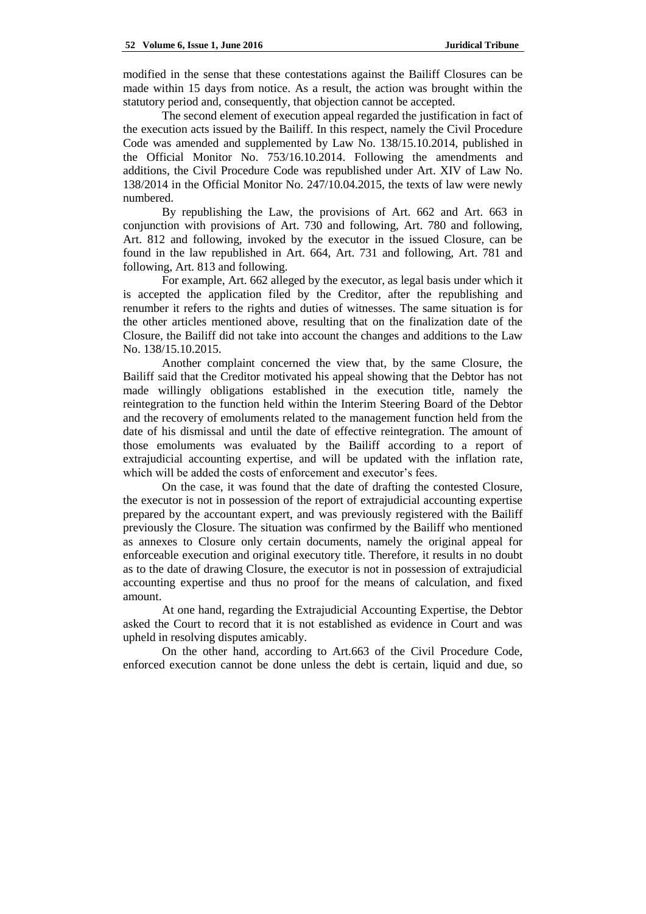modified in the sense that these contestations against the Bailiff Closures can be made within 15 days from notice. As a result, the action was brought within the statutory period and, consequently, that objection cannot be accepted.

The second element of execution appeal regarded the justification in fact of the execution acts issued by the Bailiff. In this respect, namely the Civil Procedure Code was amended and supplemented by Law No. 138/15.10.2014, published in the Official Monitor No. 753/16.10.2014. Following the amendments and additions, the Civil Procedure Code was republished under Art. XIV of Law No. 138/2014 in the Official Monitor No. 247/10.04.2015, the texts of law were newly numbered.

By republishing the Law, the provisions of Art. 662 and Art. 663 in conjunction with provisions of Art. 730 and following, Art. 780 and following, Art. 812 and following, invoked by the executor in the issued Closure, can be found in the law republished in Art. 664, Art. 731 and following, Art. 781 and following, Art. 813 and following.

For example, Art. 662 alleged by the executor, as legal basis under which it is accepted the application filed by the Creditor, after the republishing and renumber it refers to the rights and duties of witnesses. The same situation is for the other articles mentioned above, resulting that on the finalization date of the Closure, the Bailiff did not take into account the changes and additions to the Law No. 138/15.10.2015.

Another complaint concerned the view that, by the same Closure, the Bailiff said that the Creditor motivated his appeal showing that the Debtor has not made willingly obligations established in the execution title, namely the reintegration to the function held within the Interim Steering Board of the Debtor and the recovery of emoluments related to the management function held from the date of his dismissal and until the date of effective reintegration. The amount of those emoluments was evaluated by the Bailiff according to a report of extrajudicial accounting expertise, and will be updated with the inflation rate, which will be added the costs of enforcement and executor's fees.

On the case, it was found that the date of drafting the contested Closure, the executor is not in possession of the report of extrajudicial accounting expertise prepared by the accountant expert, and was previously registered with the Bailiff previously the Closure. The situation was confirmed by the Bailiff who mentioned as annexes to Closure only certain documents, namely the original appeal for enforceable execution and original executory title. Therefore, it results in no doubt as to the date of drawing Closure, the executor is not in possession of extrajudicial accounting expertise and thus no proof for the means of calculation, and fixed amount.

At one hand, regarding the Extrajudicial Accounting Expertise, the Debtor asked the Court to record that it is not established as evidence in Court and was upheld in resolving disputes amicably.

On the other hand, according to Art.663 of the Civil Procedure Code, enforced execution cannot be done unless the debt is certain, liquid and due, so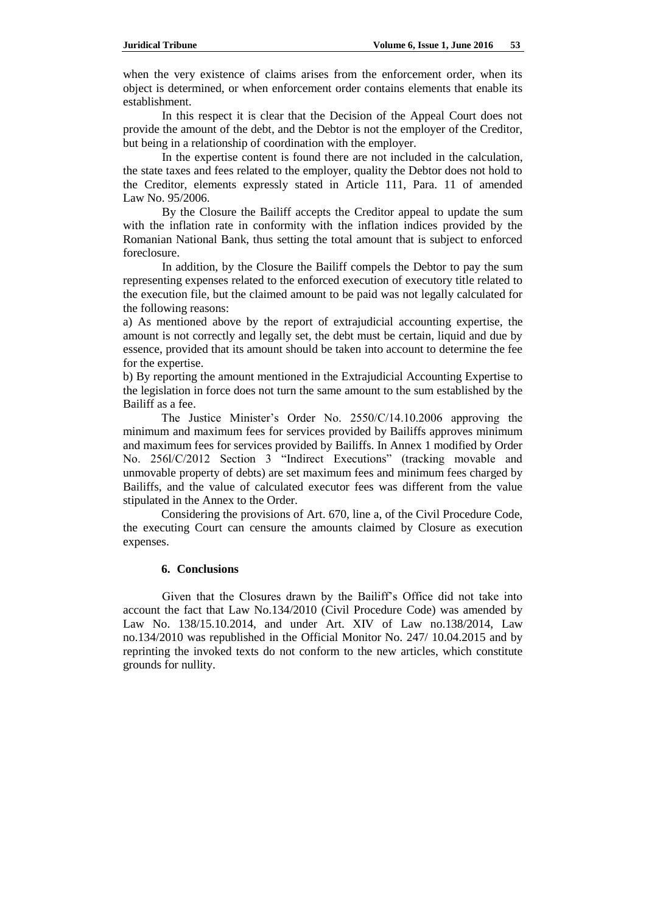when the very existence of claims arises from the enforcement order, when its object is determined, or when enforcement order contains elements that enable its establishment.

In this respect it is clear that the Decision of the Appeal Court does not provide the amount of the debt, and the Debtor is not the employer of the Creditor, but being in a relationship of coordination with the employer.

In the expertise content is found there are not included in the calculation, the state taxes and fees related to the employer, quality the Debtor does not hold to the Creditor, elements expressly stated in Article 111, Para. 11 of amended Law No. 95/2006.

By the Closure the Bailiff accepts the Creditor appeal to update the sum with the inflation rate in conformity with the inflation indices provided by the Romanian National Bank, thus setting the total amount that is subject to enforced foreclosure.

In addition, by the Closure the Bailiff compels the Debtor to pay the sum representing expenses related to the enforced execution of executory title related to the execution file, but the claimed amount to be paid was not legally calculated for the following reasons:

a) As mentioned above by the report of extrajudicial accounting expertise, the amount is not correctly and legally set, the debt must be certain, liquid and due by essence, provided that its amount should be taken into account to determine the fee for the expertise.

b) By reporting the amount mentioned in the Extrajudicial Accounting Expertise to the legislation in force does not turn the same amount to the sum established by the Bailiff as a fee.

The Justice Minister's Order No. 2550/C/14.10.2006 approving the minimum and maximum fees for services provided by Bailiffs approves minimum and maximum fees for services provided by Bailiffs. In Annex 1 modified by Order No. 256l/C/2012 Section 3 "Indirect Executions" (tracking movable and unmovable property of debts) are set maximum fees and minimum fees charged by Bailiffs, and the value of calculated executor fees was different from the value stipulated in the Annex to the Order.

Considering the provisions of Art. 670, line a, of the Civil Procedure Code, the executing Court can censure the amounts claimed by Closure as execution expenses.

#### **6. Conclusions**

Given that the Closures drawn by the Bailiff's Office did not take into account the fact that Law No.134/2010 (Civil Procedure Code) was amended by Law No. 138/15.10.2014, and under Art. XIV of Law no.138/2014, Law no.134/2010 was republished in the Official Monitor No. 247/ 10.04.2015 and by reprinting the invoked texts do not conform to the new articles, which constitute grounds for nullity.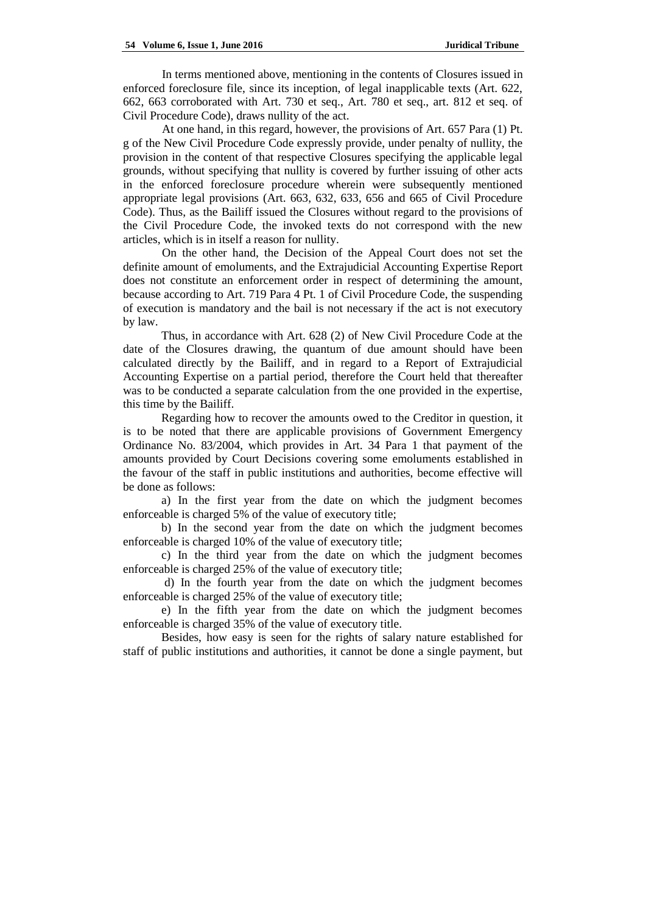In terms mentioned above, mentioning in the contents of Closures issued in enforced foreclosure file, since its inception, of legal inapplicable texts (Art. 622, 662, 663 corroborated with Art. 730 et seq., Art. 780 et seq., art. 812 et seq. of Civil Procedure Code), draws nullity of the act.

At one hand, in this regard, however, the provisions of Art. 657 Para (1) Pt. g of the New Civil Procedure Code expressly provide, under penalty of nullity, the provision in the content of that respective Closures specifying the applicable legal grounds, without specifying that nullity is covered by further issuing of other acts in the enforced foreclosure procedure wherein were subsequently mentioned appropriate legal provisions (Art. 663, 632, 633, 656 and 665 of Civil Procedure Code). Thus, as the Bailiff issued the Closures without regard to the provisions of the Civil Procedure Code, the invoked texts do not correspond with the new articles, which is in itself a reason for nullity.

On the other hand, the Decision of the Appeal Court does not set the definite amount of emoluments, and the Extrajudicial Accounting Expertise Report does not constitute an enforcement order in respect of determining the amount, because according to Art. 719 Para 4 Pt. 1 of Civil Procedure Code, the suspending of execution is mandatory and the bail is not necessary if the act is not executory by law.

Thus, in accordance with Art. 628 (2) of New Civil Procedure Code at the date of the Closures drawing, the quantum of due amount should have been calculated directly by the Bailiff, and in regard to a Report of Extrajudicial Accounting Expertise on a partial period, therefore the Court held that thereafter was to be conducted a separate calculation from the one provided in the expertise, this time by the Bailiff.

Regarding how to recover the amounts owed to the Creditor in question, it is to be noted that there are applicable provisions of Government Emergency Ordinance No. 83/2004, which provides in Art. 34 Para 1 that payment of the amounts provided by Court Decisions covering some emoluments established in the favour of the staff in public institutions and authorities, become effective will be done as follows:

a) In the first year from the date on which the judgment becomes enforceable is charged 5% of the value of executory title;

b) In the second year from the date on which the judgment becomes enforceable is charged 10% of the value of executory title;

c) In the third year from the date on which the judgment becomes enforceable is charged 25% of the value of executory title;

d) In the fourth year from the date on which the judgment becomes enforceable is charged 25% of the value of executory title;

e) In the fifth year from the date on which the judgment becomes enforceable is charged 35% of the value of executory title.

Besides, how easy is seen for the rights of salary nature established for staff of public institutions and authorities, it cannot be done a single payment, but